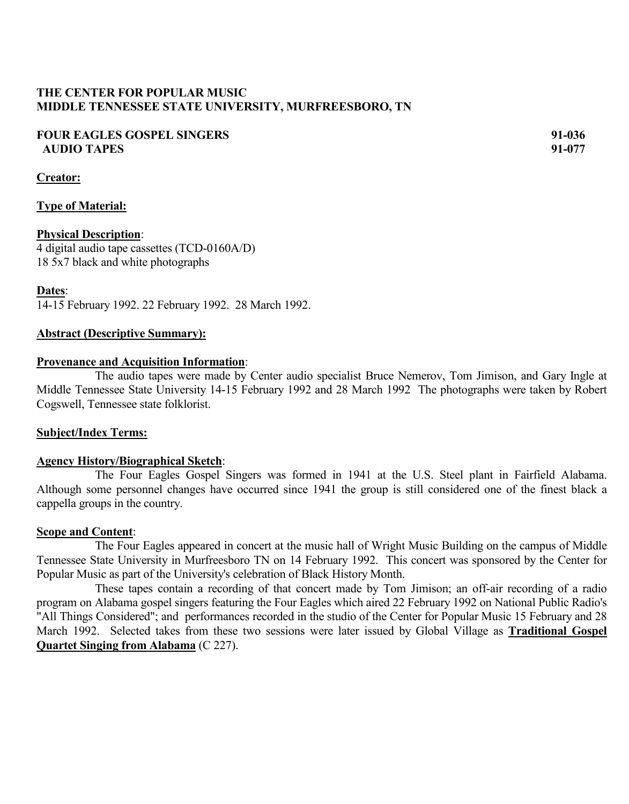# **THE CENTER FOR POPULAR MUSIC MIDDLE TENNESSEE STATE UNIVERSITY, MURFREESBORO, TN**

# **FOUR EAGLES GOSPEL SINGERS 91-036 AUDIO TAPES 91-077**

**Creator:**

# **Type of Material:**

## **Physical Description**:

4 digital audio tape cassettes (TCD-0160A/D) 18 5x7 black and white photographs

### **Dates**:

14-15 February 1992. 22 February 1992. 28 March 1992.

### **Abstract (Descriptive Summary):**

#### **Provenance and Acquisition Information**:

The audio tapes were made by Center audio specialist Bruce Nemerov, Tom Jimison, and Gary Ingle at Middle Tennessee State University 14-15 February 1992 and 28 March 1992 The photographs were taken by Robert Cogswell, Tennessee state folklorist.

#### **Subject/Index Terms:**

#### **Agency History/Biographical Sketch**:

The Four Eagles Gospel Singers was formed in 1941 at the U.S. Steel plant in Fairfield Alabama. Although some personnel changes have occurred since 1941 the group is still considered one of the finest black a cappella groups in the country.

#### **Scope and Content**:

The Four Eagles appeared in concert at the music hall of Wright Music Building on the campus of Middle Tennessee State University in Murfreesboro TN on 14 February 1992. This concert was sponsored by the Center for Popular Music as part of the University's celebration of Black History Month.

These tapes contain a recording of that concert made by Tom Jimison; an off-air recording of a radio program on Alabama gospel singers featuring the Four Eagles which aired 22 February 1992 on National Public Radio's "All Things Considered"; and performances recorded in the studio of the Center for Popular Music 15 February and 28 March 1992. Selected takes from these two sessions were later issued by Global Village as **Traditional Gospel Quartet Singing from Alabama** (C 227).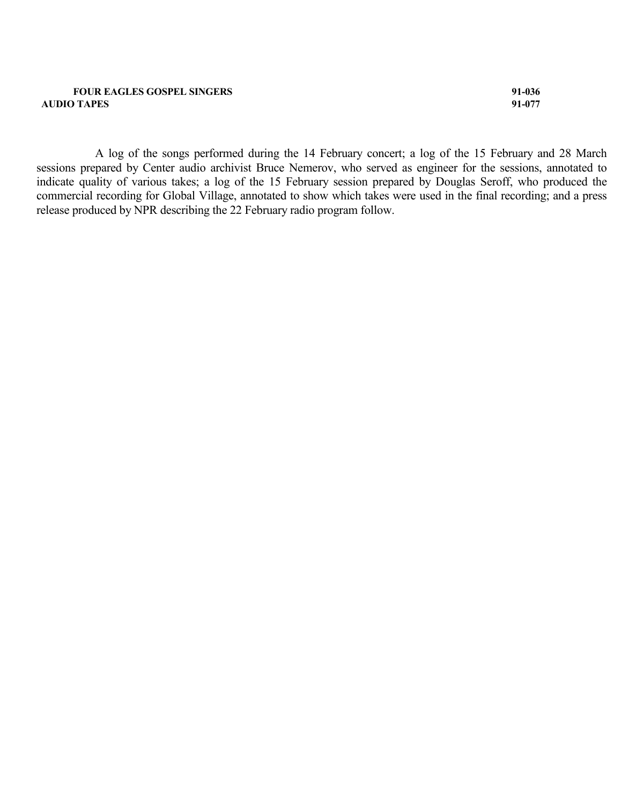#### **FOUR EAGLES GOSPEL SINGERS 91-036 AUDIO TAPES 91-077**

A log of the songs performed during the 14 February concert; a log of the 15 February and 28 March sessions prepared by Center audio archivist Bruce Nemerov, who served as engineer for the sessions, annotated to indicate quality of various takes; a log of the 15 February session prepared by Douglas Seroff, who produced the commercial recording for Global Village, annotated to show which takes were used in the final recording; and a press release produced by NPR describing the 22 February radio program follow.